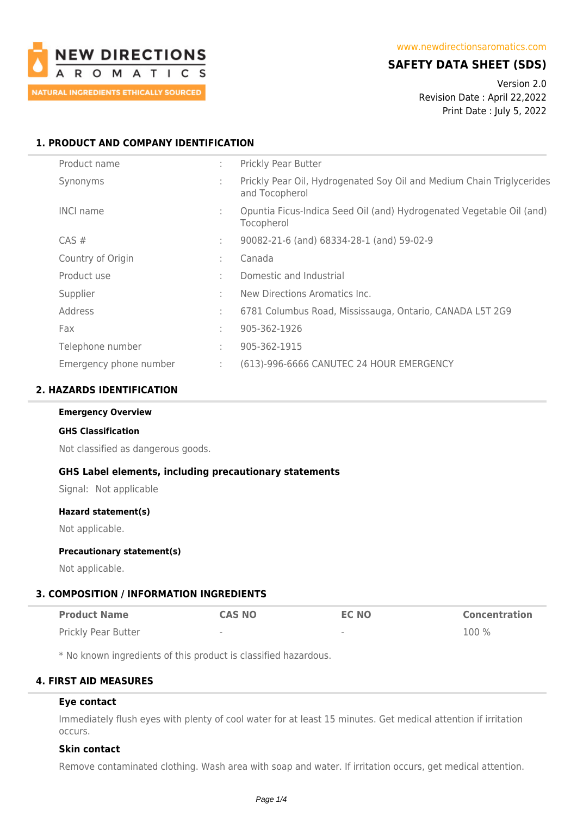

# **SAFETY DATA SHEET (SDS)**

Version 2.0 Revision Date : April 22,2022 Print Date : July 5, 2022

## **1. PRODUCT AND COMPANY IDENTIFICATION**

| Product name           | ÷. | <b>Prickly Pear Butter</b>                                                              |
|------------------------|----|-----------------------------------------------------------------------------------------|
| Synonyms               | ٠. | Prickly Pear Oil, Hydrogenated Soy Oil and Medium Chain Triglycerides<br>and Tocopherol |
| <b>INCI name</b>       |    | Opuntia Ficus-Indica Seed Oil (and) Hydrogenated Vegetable Oil (and)<br>Tocopherol      |
| $CAS \#$               | ÷. | 90082-21-6 (and) 68334-28-1 (and) 59-02-9                                               |
| Country of Origin      | ÷  | Canada                                                                                  |
| Product use            | ٠. | Domestic and Industrial                                                                 |
| Supplier               | ٠  | New Directions Aromatics Inc.                                                           |
| Address                | ÷. | 6781 Columbus Road, Mississauga, Ontario, CANADA L5T 2G9                                |
| Fax                    | ٠. | 905-362-1926                                                                            |
| Telephone number       | ÷. | 905-362-1915                                                                            |
| Emergency phone number | ÷  | (613)-996-6666 CANUTEC 24 HOUR EMERGENCY                                                |

### **2. HAZARDS IDENTIFICATION**

#### **Emergency Overview**

#### **GHS Classification**

Not classified as dangerous goods.

### **GHS Label elements, including precautionary statements**

Signal: Not applicable

#### **Hazard statement(s)**

Not applicable.

### **Precautionary statement(s)**

Not applicable.

# **3. COMPOSITION / INFORMATION INGREDIENTS**

| <b>Product Name</b> | <b>CAS NO</b> | <b>EC NO</b>             | <b>Concentration</b> |
|---------------------|---------------|--------------------------|----------------------|
| Prickly Pear Butter | $\;$          | $\overline{\phantom{a}}$ | 100 %                |

\* No known ingredients of this product is classified hazardous.

# **4. FIRST AID MEASURES**

# **Eye contact**

Immediately flush eyes with plenty of cool water for at least 15 minutes. Get medical attention if irritation occurs.

# **Skin contact**

Remove contaminated clothing. Wash area with soap and water. If irritation occurs, get medical attention.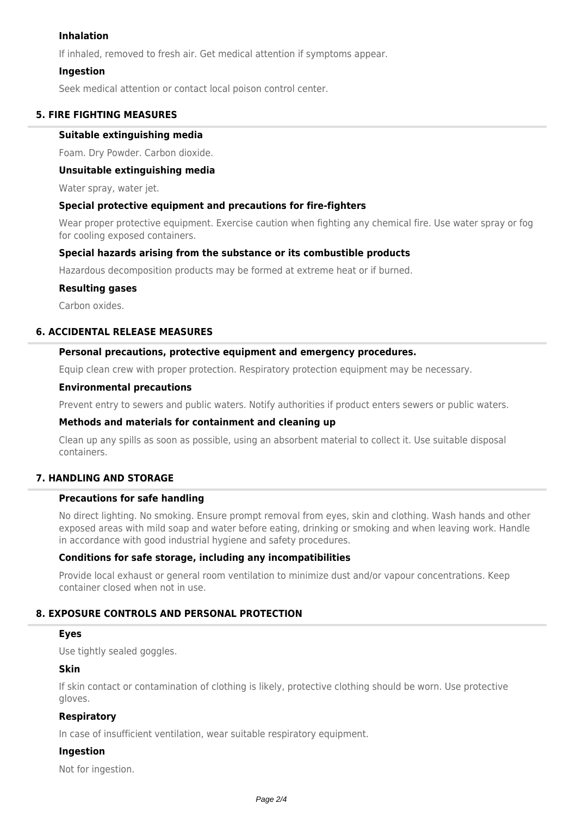### **Inhalation**

If inhaled, removed to fresh air. Get medical attention if symptoms appear.

### **Ingestion**

Seek medical attention or contact local poison control center.

### **5. FIRE FIGHTING MEASURES**

### **Suitable extinguishing media**

Foam. Dry Powder. Carbon dioxide.

### **Unsuitable extinguishing media**

Water spray, water jet.

### **Special protective equipment and precautions for fire-fighters**

Wear proper protective equipment. Exercise caution when fighting any chemical fire. Use water spray or fog for cooling exposed containers.

### **Special hazards arising from the substance or its combustible products**

Hazardous decomposition products may be formed at extreme heat or if burned.

### **Resulting gases**

Carbon oxides.

### **6. ACCIDENTAL RELEASE MEASURES**

### **Personal precautions, protective equipment and emergency procedures.**

Equip clean crew with proper protection. Respiratory protection equipment may be necessary.

#### **Environmental precautions**

Prevent entry to sewers and public waters. Notify authorities if product enters sewers or public waters.

### **Methods and materials for containment and cleaning up**

Clean up any spills as soon as possible, using an absorbent material to collect it. Use suitable disposal containers.

## **7. HANDLING AND STORAGE**

### **Precautions for safe handling**

No direct lighting. No smoking. Ensure prompt removal from eyes, skin and clothing. Wash hands and other exposed areas with mild soap and water before eating, drinking or smoking and when leaving work. Handle in accordance with good industrial hygiene and safety procedures.

### **Conditions for safe storage, including any incompatibilities**

Provide local exhaust or general room ventilation to minimize dust and/or vapour concentrations. Keep container closed when not in use.

### **8. EXPOSURE CONTROLS AND PERSONAL PROTECTION**

### **Eyes**

Use tightly sealed goggles.

### **Skin**

If skin contact or contamination of clothing is likely, protective clothing should be worn. Use protective gloves.

### **Respiratory**

In case of insufficient ventilation, wear suitable respiratory equipment.

### **Ingestion**

Not for ingestion.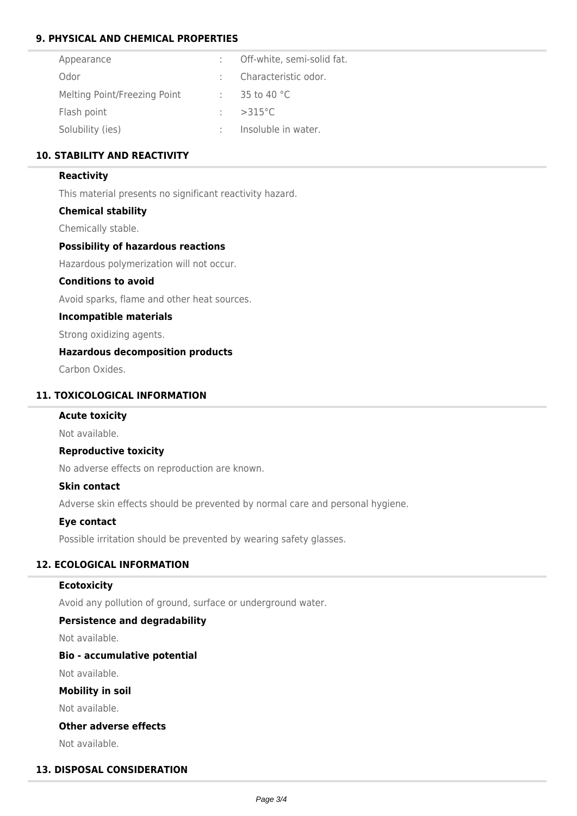## **9. PHYSICAL AND CHEMICAL PROPERTIES**

| Appearance                   | : Off-white, semi-solid fat.     |
|------------------------------|----------------------------------|
| Odor                         | : Characteristic odor.           |
| Melting Point/Freezing Point | $: 35 \text{ to } 40 \text{ °C}$ |
| Flash point                  | $\div$ >315 °C                   |
| Solubility (ies)             | Insoluble in water.              |

### **10. STABILITY AND REACTIVITY**

### **Reactivity**

This material presents no significant reactivity hazard.

### **Chemical stability**

Chemically stable.

### **Possibility of hazardous reactions**

Hazardous polymerization will not occur.

## **Conditions to avoid**

Avoid sparks, flame and other heat sources.

### **Incompatible materials**

Strong oxidizing agents.

## **Hazardous decomposition products**

Carbon Oxides.

### **11. TOXICOLOGICAL INFORMATION**

### **Acute toxicity**

Not available.

### **Reproductive toxicity**

No adverse effects on reproduction are known.

### **Skin contact**

Adverse skin effects should be prevented by normal care and personal hygiene.

### **Eye contact**

Possible irritation should be prevented by wearing safety glasses.

### **12. ECOLOGICAL INFORMATION**

### **Ecotoxicity**

Avoid any pollution of ground, surface or underground water.

### **Persistence and degradability**

Not available.

### **Bio - accumulative potential**

Not available.

**Mobility in soil**

Not available.

### **Other adverse effects**

Not available.

## **13. DISPOSAL CONSIDERATION**